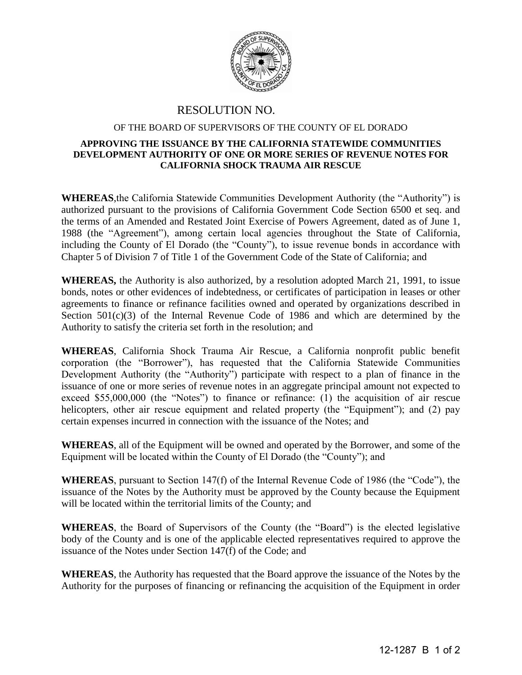

## RESOLUTION NO.

## OF THE BOARD OF SUPERVISORS OF THE COUNTY OF EL DORADO

## **APPROVING THE ISSUANCE BY THE CALIFORNIA STATEWIDE COMMUNITIES DEVELOPMENT AUTHORITY OF ONE OR MORE SERIES OF REVENUE NOTES FOR CALIFORNIA SHOCK TRAUMA AIR RESCUE**

**WHEREAS**,the California Statewide Communities Development Authority (the "Authority") is authorized pursuant to the provisions of California Government Code Section 6500 et seq. and the terms of an Amended and Restated Joint Exercise of Powers Agreement, dated as of June 1, 1988 (the "Agreement"), among certain local agencies throughout the State of California, including the County of El Dorado (the "County"), to issue revenue bonds in accordance with Chapter 5 of Division 7 of Title 1 of the Government Code of the State of California; and

**WHEREAS,** the Authority is also authorized, by a resolution adopted March 21, 1991, to issue bonds, notes or other evidences of indebtedness, or certificates of participation in leases or other agreements to finance or refinance facilities owned and operated by organizations described in Section  $501(c)(3)$  of the Internal Revenue Code of 1986 and which are determined by the Authority to satisfy the criteria set forth in the resolution; and

**WHEREAS**, California Shock Trauma Air Rescue, a California nonprofit public benefit corporation (the "Borrower"), has requested that the California Statewide Communities Development Authority (the "Authority") participate with respect to a plan of finance in the issuance of one or more series of revenue notes in an aggregate principal amount not expected to exceed \$55,000,000 (the "Notes") to finance or refinance: (1) the acquisition of air rescue helicopters, other air rescue equipment and related property (the "Equipment"); and (2) pay certain expenses incurred in connection with the issuance of the Notes; and

**WHEREAS**, all of the Equipment will be owned and operated by the Borrower, and some of the Equipment will be located within the County of El Dorado (the "County"); and

**WHEREAS**, pursuant to Section 147(f) of the Internal Revenue Code of 1986 (the "Code"), the issuance of the Notes by the Authority must be approved by the County because the Equipment will be located within the territorial limits of the County; and

**WHEREAS**, the Board of Supervisors of the County (the "Board") is the elected legislative body of the County and is one of the applicable elected representatives required to approve the issuance of the Notes under Section 147(f) of the Code; and

**WHEREAS**, the Authority has requested that the Board approve the issuance of the Notes by the Authority for the purposes of financing or refinancing the acquisition of the Equipment in order